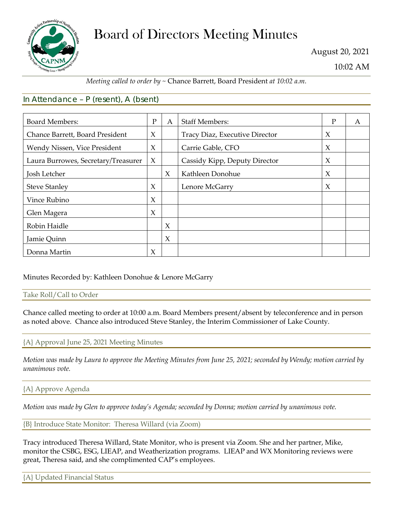

# Board of Directors Meeting Minutes

August 20, 2021

10:02 AM

## *Meeting called to order by ~* Chance Barrett, Board President *at 10:02 a.m.*

## In Attendance – P (resent), A (bsent)

| <b>Board Members:</b>               | $\mathbf{P}$ | A      | <b>Staff Members:</b>          | P      | A |
|-------------------------------------|--------------|--------|--------------------------------|--------|---|
| Chance Barrett, Board President     | $\chi$       |        | Tracy Diaz, Executive Director | $\chi$ |   |
| Wendy Nissen, Vice President        | X            |        | Carrie Gable, CFO              | $\chi$ |   |
| Laura Burrowes, Secretary/Treasurer | $\chi$       |        | Cassidy Kipp, Deputy Director  | $\chi$ |   |
| Josh Letcher                        |              | $\chi$ | Kathleen Donohue               | $\chi$ |   |
| <b>Steve Stanley</b>                | X            |        | Lenore McGarry                 | $\chi$ |   |
| Vince Rubino                        | X            |        |                                |        |   |
| Glen Magera                         | $\chi$       |        |                                |        |   |
| Robin Haidle                        |              | $\chi$ |                                |        |   |
| Jamie Quinn                         |              | $\chi$ |                                |        |   |
| Donna Martin                        | X            |        |                                |        |   |

## Minutes Recorded by: Kathleen Donohue & Lenore McGarry

Take Roll/Call to Order

Chance called meeting to order at 10:00 a.m. Board Members present/absent by teleconference and in person as noted above. Chance also introduced Steve Stanley, the Interim Commissioner of Lake County.

## {A} Approval June 25, 2021 Meeting Minutes

*Motion was made by Laura to approve the Meeting Minutes from June 25, 2021; seconded by Wendy; motion carried by unanimous vote.*

## {A} Approve Agenda

*Motion was made by Glen to approve today's Agenda; seconded by Donna; motion carried by unanimous vote.*

{B} Introduce State Monitor: Theresa Willard (via Zoom)

Tracy introduced Theresa Willard, State Monitor, who is present via Zoom. She and her partner, Mike, monitor the CSBG, ESG, LIEAP, and Weatherization programs. LIEAP and WX Monitoring reviews were great, Theresa said, and she complimented CAP's employees.

{A} Updated Financial Status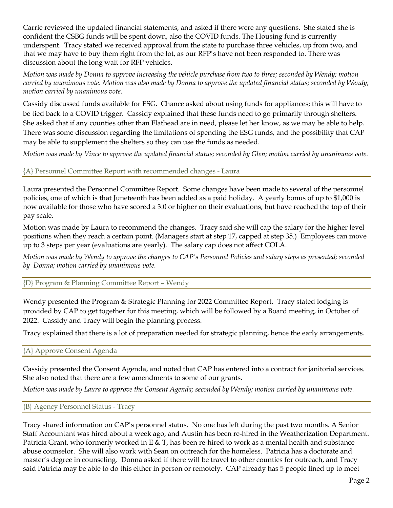Carrie reviewed the updated financial statements, and asked if there were any questions. She stated she is confident the CSBG funds will be spent down, also the COVID funds. The Housing fund is currently underspent. Tracy stated we received approval from the state to purchase three vehicles, up from two, and that we may have to buy them right from the lot, as our RFP's have not been responded to. There was discussion about the long wait for RFP vehicles.

*Motion was made by Donna to approve increasing the vehicle purchase from two to three; seconded by Wendy; motion carried by unanimous vote. Motion was also made by Donna to approve the updated financial status; seconded by Wendy; motion carried by unanimous vote.*

Cassidy discussed funds available for ESG. Chance asked about using funds for appliances; this will have to be tied back to a COVID trigger. Cassidy explained that these funds need to go primarily through shelters. She asked that if any counties other than Flathead are in need, please let her know, as we may be able to help. There was some discussion regarding the limitations of spending the ESG funds, and the possibility that CAP may be able to supplement the shelters so they can use the funds as needed.

*Motion was made by Vince to approve the updated financial status; seconded by Glen; motion carried by unanimous vote.*

#### {A} Personnel Committee Report with recommended changes - Laura

Laura presented the Personnel Committee Report. Some changes have been made to several of the personnel policies, one of which is that Juneteenth has been added as a paid holiday. A yearly bonus of up to \$1,000 is now available for those who have scored a 3.0 or higher on their evaluations, but have reached the top of their pay scale.

Motion was made by Laura to recommend the changes. Tracy said she will cap the salary for the higher level positions when they reach a certain point. (Managers start at step 17, capped at step 35.) Employees can move up to 3 steps per year (evaluations are yearly). The salary cap does not affect COLA.

*Motion was made by Wendy to approve the changes to CAP's Personnel Policies and salary steps as presented; seconded by Donna; motion carried by unanimous vote.*

#### {D} Program & Planning Committee Report – Wendy

Wendy presented the Program & Strategic Planning for 2022 Committee Report. Tracy stated lodging is provided by CAP to get together for this meeting, which will be followed by a Board meeting, in October of 2022. Cassidy and Tracy will begin the planning process.

Tracy explained that there is a lot of preparation needed for strategic planning, hence the early arrangements.

#### {A} Approve Consent Agenda

Cassidy presented the Consent Agenda, and noted that CAP has entered into a contract for janitorial services. She also noted that there are a few amendments to some of our grants.

*Motion was made by Laura to approve the Consent Agenda; seconded by Wendy; motion carried by unanimous vote.*

#### {B} Agency Personnel Status - Tracy

Tracy shared information on CAP's personnel status. No one has left during the past two months. A Senior Staff Accountant was hired about a week ago, and Austin has been re-hired in the Weatherization Department. Patricia Grant, who formerly worked in E & T, has been re-hired to work as a mental health and substance abuse counselor. She will also work with Sean on outreach for the homeless. Patricia has a doctorate and master's degree in counseling. Donna asked if there will be travel to other counties for outreach, and Tracy said Patricia may be able to do this either in person or remotely. CAP already has 5 people lined up to meet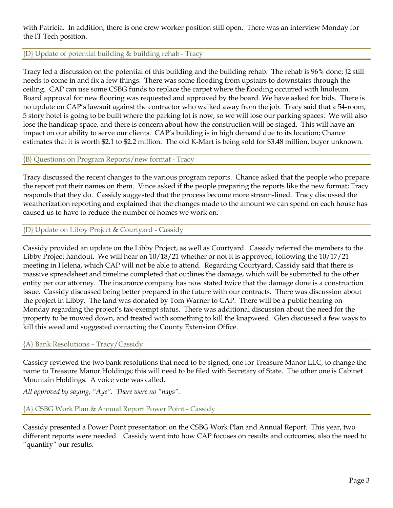with Patricia. In addition, there is one crew worker position still open. There was an interview Monday for the IT Tech position.

### {D} Update of potential building & building rehab - Tracy

Tracy led a discussion on the potential of this building and the building rehab. The rehab is 96% done; J2 still needs to come in and fix a few things. There was some flooding from upstairs to downstairs through the ceiling. CAP can use some CSBG funds to replace the carpet where the flooding occurred with linoleum. Board approval for new flooring was requested and approved by the board. We have asked for bids. There is no update on CAP's lawsuit against the contractor who walked away from the job. Tracy said that a 54-room, 5 story hotel is going to be built where the parking lot is now, so we will lose our parking spaces. We will also lose the handicap space, and there is concern about how the construction will be staged. This will have an impact on our ability to serve our clients. CAP's building is in high demand due to its location; Chance estimates that it is worth \$2.1 to \$2.2 million. The old K-Mart is being sold for \$3.48 million, buyer unknown.

### {B} Questions on Program Reports/new format - Tracy

Tracy discussed the recent changes to the various program reports. Chance asked that the people who prepare the report put their names on them. Vince asked if the people preparing the reports like the new format; Tracy responds that they do. Cassidy suggested that the process become more stream-lined. Tracy discussed the weatherization reporting and explained that the changes made to the amount we can spend on each house has caused us to have to reduce the number of homes we work on.

#### {D} Update on Libby Project & Courtyard - Cassidy

Cassidy provided an update on the Libby Project, as well as Courtyard. Cassidy referred the members to the Libby Project handout. We will hear on 10/18/21 whether or not it is approved, following the 10/17/21 meeting in Helena, which CAP will not be able to attend. Regarding Courtyard, Cassidy said that there is massive spreadsheet and timeline completed that outlines the damage, which will be submitted to the other entity per our attorney. The insurance company has now stated twice that the damage done is a construction issue. Cassidy discussed being better prepared in the future with our contracts. There was discussion about the project in Libby. The land was donated by Tom Warner to CAP. There will be a public hearing on Monday regarding the project's tax-exempt status. There was additional discussion about the need for the property to be mowed down, and treated with something to kill the knapweed. Glen discussed a few ways to kill this weed and suggested contacting the County Extension Office.

#### {A} Bank Resolutions – Tracy/Cassidy

Cassidy reviewed the two bank resolutions that need to be signed, one for Treasure Manor LLC, to change the name to Treasure Manor Holdings; this will need to be filed with Secretary of State. The other one is Cabinet Mountain Holdings. A voice vote was called.

*All approved by saying, "Aye". There were no "nays".*

#### {A} CSBG Work Plan & Annual Report Power Point - Cassidy

Cassidy presented a Power Point presentation on the CSBG Work Plan and Annual Report. This year, two different reports were needed. Cassidy went into how CAP focuses on results and outcomes, also the need to "quantify" our results.